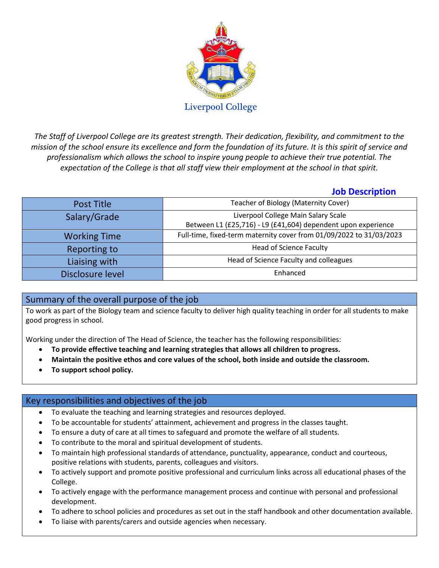

*The Staff of Liverpool College are its greatest strength. Their dedication, flexibility, and commitment to the mission of the school ensure its excellence and form the foundation of its future. It is this spirit of service and professionalism which allows the school to inspire young people to achieve their true potential. The expectation of the College is that all staff view their employment at the school in that spirit.*

# **Job Description**

| Post Title          | Teacher of Biology (Maternity Cover)                                                                 |
|---------------------|------------------------------------------------------------------------------------------------------|
| Salary/Grade        | Liverpool College Main Salary Scale<br>Between L1 (£25,716) - L9 (£41,604) dependent upon experience |
|                     |                                                                                                      |
| <b>Working Time</b> | Full-time, fixed-term maternity cover from 01/09/2022 to 31/03/2023                                  |
| Reporting to        | <b>Head of Science Faculty</b>                                                                       |
| Liaising with       | Head of Science Faculty and colleagues                                                               |
| Disclosure level    | Enhanced                                                                                             |

## Summary of the overall purpose of the job

To work as part of the Biology team and science faculty to deliver high quality teaching in order for all students to make good progress in school.

Working under the direction of The Head of Science, the teacher has the following responsibilities:

- **To provide effective teaching and learning strategies that allows all children to progress.**
- **Maintain the positive ethos and core values of the school, both inside and outside the classroom.**
- **To support school policy.**

## Key responsibilities and objectives of the job

- To evaluate the teaching and learning strategies and resources deployed.
- To be accountable for students' attainment, achievement and progress in the classes taught.
- To ensure a duty of care at all times to safeguard and promote the welfare of all students.
- To contribute to the moral and spiritual development of students.
- To maintain high professional standards of attendance, punctuality, appearance, conduct and courteous, positive relations with students, parents, colleagues and visitors.
- To actively support and promote positive professional and curriculum links across all educational phases of the College.
- To actively engage with the performance management process and continue with personal and professional development.
- To adhere to school policies and procedures as set out in the staff handbook and other documentation available.
- To liaise with parents/carers and outside agencies when necessary.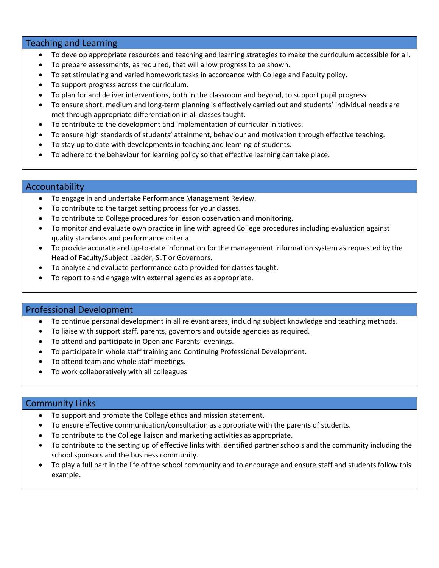### Teaching and Learning

- To develop appropriate resources and teaching and learning strategies to make the curriculum accessible for all.
- To prepare assessments, as required, that will allow progress to be shown.
- To set stimulating and varied homework tasks in accordance with College and Faculty policy.
- To support progress across the curriculum.
- To plan for and deliver interventions, both in the classroom and beyond, to support pupil progress.
- To ensure short, medium and long-term planning is effectively carried out and students' individual needs are met through appropriate differentiation in all classes taught.
- To contribute to the development and implementation of curricular initiatives.
- To ensure high standards of students' attainment, behaviour and motivation through effective teaching.
- To stay up to date with developments in teaching and learning of students.
- To adhere to the behaviour for learning policy so that effective learning can take place.

#### Accountability

- To engage in and undertake Performance Management Review.
- To contribute to the target setting process for your classes.
- To contribute to College procedures for lesson observation and monitoring.
- To monitor and evaluate own practice in line with agreed College procedures including evaluation against quality standards and performance criteria
- To provide accurate and up-to-date information for the management information system as requested by the Head of Faculty/Subject Leader, SLT or Governors.
- To analyse and evaluate performance data provided for classes taught.
- To report to and engage with external agencies as appropriate.

#### Professional Development

- To continue personal development in all relevant areas, including subject knowledge and teaching methods.
- To liaise with support staff, parents, governors and outside agencies as required.
- To attend and participate in Open and Parents' evenings.
- To participate in whole staff training and Continuing Professional Development.
- To attend team and whole staff meetings.
- To work collaboratively with all colleagues

#### Community Links

- To support and promote the College ethos and mission statement.
- To ensure effective communication/consultation as appropriate with the parents of students.
- To contribute to the College liaison and marketing activities as appropriate.
- To contribute to the setting up of effective links with identified partner schools and the community including the school sponsors and the business community.
- To play a full part in the life of the school community and to encourage and ensure staff and students follow this example.